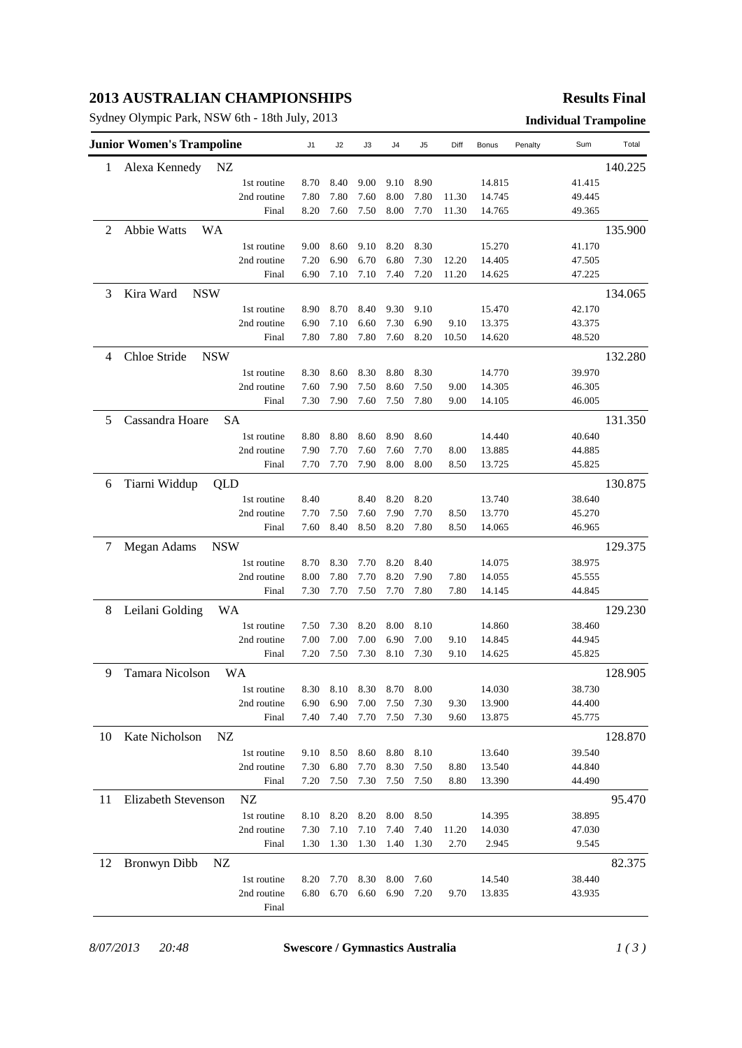# **2013 AUSTRALIAN CHAMPIONSHIPS**

Sydney Olympic Park, NSW 6th - 18th July, 2013 **Individual Trampoline**

### **Results Final**

|    | <b>Junior Women's Trampoline</b> |                            | J1           | J2           | J3           | J4           | J5           | Diff          | Bonus            | Penalty | Sum              | Total   |
|----|----------------------------------|----------------------------|--------------|--------------|--------------|--------------|--------------|---------------|------------------|---------|------------------|---------|
| 1  | Alexa Kennedy<br>NZ              |                            |              |              |              |              |              |               |                  |         |                  | 140.225 |
|    |                                  | 1st routine                | 8.70         | 8.40         | 9.00         | 9.10         | 8.90         |               | 14.815           |         | 41.415           |         |
|    |                                  | 2nd routine                | 7.80         | 7.80         | 7.60         | 8.00         | 7.80         | 11.30         | 14.745           |         | 49.445           |         |
|    |                                  | Final                      | 8.20         | 7.60         | 7.50         | 8.00         | 7.70         | 11.30         | 14.765           |         | 49.365           |         |
| 2  | Abbie Watts<br><b>WA</b>         |                            |              |              |              |              |              |               |                  |         |                  | 135.900 |
|    |                                  | 1st routine                | 9.00         | 8.60         | 9.10         | 8.20         | 8.30         |               | 15.270           |         | 41.170           |         |
|    |                                  | 2nd routine                | 7.20         | 6.90         | 6.70         | 6.80         | 7.30         | 12.20         | 14.405           |         | 47.505           |         |
|    |                                  | Final                      | 6.90         | 7.10         | 7.10         | 7.40         | 7.20         | 11.20         | 14.625           |         | 47.225           |         |
| 3  | Kira Ward<br><b>NSW</b>          |                            |              |              |              |              |              |               |                  |         |                  | 134.065 |
|    |                                  | 1st routine                | 8.90         | 8.70         | 8.40         | 9.30         | 9.10         |               | 15.470           |         | 42.170           |         |
|    |                                  | 2nd routine                | 6.90         | 7.10         | 6.60         | 7.30         | 6.90         | 9.10          | 13.375           |         | 43.375           |         |
|    |                                  | Final                      | 7.80         | 7.80         | 7.80         | 7.60         | 8.20         | 10.50         | 14.620           |         | 48.520           |         |
| 4  | Chloe Stride<br><b>NSW</b>       |                            |              |              |              |              |              |               |                  |         |                  | 132.280 |
|    |                                  | 1st routine                | 8.30         | 8.60         | 8.30         | 8.80         | 8.30         |               | 14.770           |         | 39.970           |         |
|    |                                  | 2nd routine                | 7.60         | 7.90         | 7.50         | 8.60         | 7.50         | 9.00          | 14.305           |         | 46.305           |         |
|    |                                  | Final                      | 7.30         | 7.90         | 7.60         | 7.50         | 7.80         | 9.00          | 14.105           |         | 46.005           |         |
| 5  | Cassandra Hoare<br><b>SA</b>     |                            |              |              |              |              |              |               |                  |         |                  | 131.350 |
|    |                                  | 1st routine                | 8.80         | 8.80         | 8.60         | 8.90         | 8.60         |               | 14.440           |         | 40.640           |         |
|    |                                  | 2nd routine                | 7.90         | 7.70         | 7.60         | 7.60         | 7.70         | 8.00          | 13.885           |         | 44.885           |         |
|    |                                  | Final                      | 7.70         | 7.70         | 7.90         | 8.00         | 8.00         | 8.50          | 13.725           |         | 45.825           |         |
| 6  | Tiarni Widdup<br>QLD             |                            |              |              |              |              |              |               |                  |         |                  | 130.875 |
|    |                                  | 1st routine                | 8.40         |              | 8.40         | 8.20         | 8.20         |               | 13.740           |         | 38.640           |         |
|    |                                  | 2nd routine                | 7.70         | 7.50         | 7.60         | 7.90         | 7.70         | 8.50          | 13.770           |         | 45.270           |         |
|    |                                  | Final                      | 7.60         | 8.40         | 8.50         | 8.20         | 7.80         | 8.50          | 14.065           |         | 46.965           |         |
| 7  | Megan Adams<br><b>NSW</b>        |                            |              |              |              |              |              |               |                  |         |                  | 129.375 |
|    |                                  | 1st routine                | 8.70         | 8.30         | 7.70         | 8.20         | 8.40         |               | 14.075           |         | 38.975           |         |
|    |                                  | 2nd routine                | 8.00         | 7.80         | 7.70         | 8.20         | 7.90         | 7.80          | 14.055           |         | 45.555           |         |
|    |                                  | Final                      | 7.30         | 7.70         | 7.50         | 7.70         | 7.80         | 7.80          | 14.145           |         | 44.845           |         |
| 8  | Leilani Golding<br>WA            |                            |              |              |              |              |              |               |                  |         |                  | 129.230 |
|    |                                  | 1st routine                | 7.50         | 7.30         | 8.20         | 8.00         | 8.10         |               | 14.860           |         | 38.460           |         |
|    |                                  | 2nd routine                | 7.00         | 7.00         | 7.00         | 6.90         | 7.00         | 9.10          | 14.845           |         | 44.945           |         |
|    |                                  | Final                      | 7.20         | 7.50         | 7.30         | 8.10         | 7.30         | 9.10          | 14.625           |         | 45.825           |         |
| 9  | Tamara Nicolson<br>WA            |                            |              |              |              |              |              |               |                  |         |                  | 128.905 |
|    |                                  |                            |              |              |              |              |              |               | 14.030           |         | 38.730           |         |
|    |                                  | 1st routine<br>2nd routine | 8.30<br>6.90 | 8.10<br>6.90 | 8.30<br>7.00 | 8.70<br>7.50 | 8.00<br>7.30 | 9.30          | 13.900           |         | 44.400           |         |
|    |                                  | Final                      | 7.40         | 7.40         | 7.70         | 7.50         | 7.30         | 9.60          | 13.875           |         | 45.775           |         |
|    |                                  |                            |              |              |              |              |              |               |                  |         |                  |         |
| 10 | Kate Nicholson<br>NZ             |                            |              |              |              |              |              |               |                  |         |                  | 128.870 |
|    |                                  | 1st routine                | 9.10<br>7.30 | 8.50<br>6.80 | 8.60<br>7.70 | 8.80<br>8.30 | 8.10         |               | 13.640           |         | 39.540<br>44.840 |         |
|    |                                  | 2nd routine<br>Final       | 7.20         | 7.50         | 7.30         | 7.50         | 7.50<br>7.50 | 8.80<br>8.80  | 13.540<br>13.390 |         | 44.490           |         |
|    |                                  |                            |              |              |              |              |              |               |                  |         |                  |         |
| 11 | Elizabeth Stevenson              | NZ                         |              |              |              |              |              |               |                  |         |                  | 95.470  |
|    |                                  | 1st routine                | 8.10         | 8.20         | 8.20         | 8.00         | 8.50         |               | 14.395           |         | 38.895           |         |
|    |                                  | 2nd routine<br>Final       | 7.30<br>1.30 | 7.10<br>1.30 | 7.10<br>1.30 | 7.40<br>1.40 | 7.40<br>1.30 | 11.20<br>2.70 | 14.030<br>2.945  |         | 47.030<br>9.545  |         |
|    |                                  |                            |              |              |              |              |              |               |                  |         |                  |         |
| 12 | Bronwyn Dibb<br>NZ               |                            |              |              |              |              |              |               |                  |         |                  | 82.375  |
|    |                                  | 1st routine                | 8.20         | 7.70         | 8.30         | 8.00         | 7.60         |               | 14.540           |         | 38.440           |         |
|    |                                  | 2nd routine                | 6.80         | 6.70         | 6.60         | 6.90         | 7.20         | 9.70          | 13.835           |         | 43.935           |         |
|    |                                  | Final                      |              |              |              |              |              |               |                  |         |                  |         |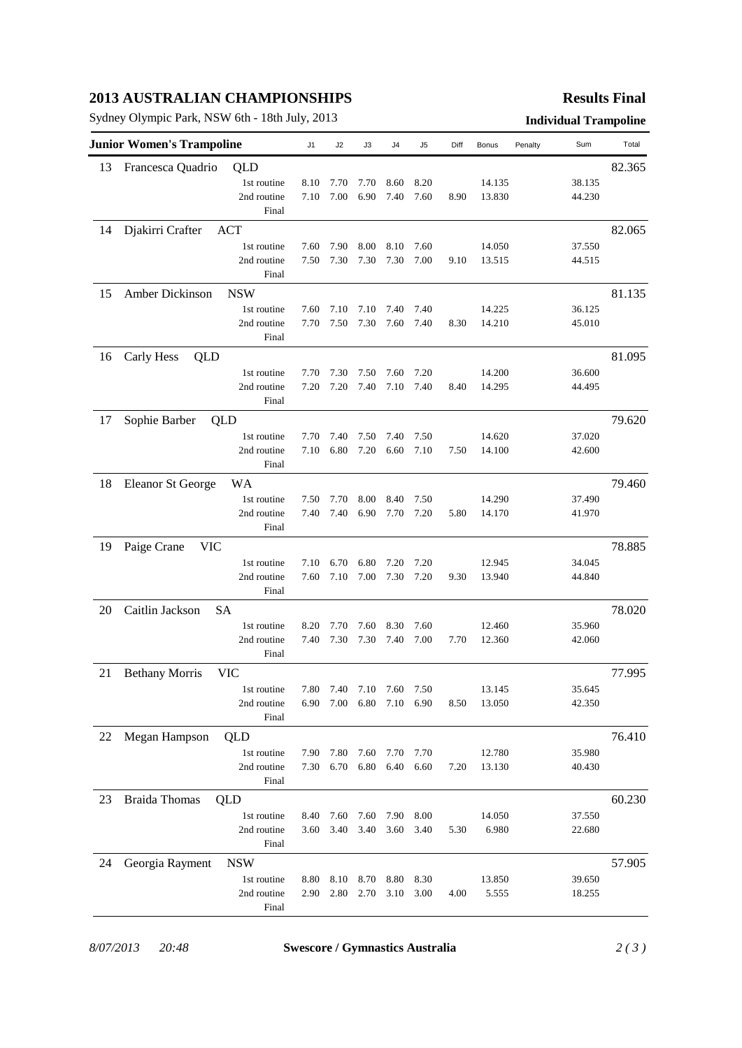# **2013 AUSTRALIAN CHAMPIONSHIPS**

Sydney Olympic Park, NSW 6th - 18th July, 2013 **Individual Trampoline**

## **Results Final**

| <b>Junior Women's Trampoline</b> |                          |             | J <sub>1</sub> | J2   | J3   | J4                  | J <sub>5</sub> | Diff | Bonus  | Penalty | Sum    | Total  |
|----------------------------------|--------------------------|-------------|----------------|------|------|---------------------|----------------|------|--------|---------|--------|--------|
| 13                               | Francesca Quadrio        | QLD         |                |      |      |                     |                |      |        |         |        | 82.365 |
|                                  |                          | 1st routine | 8.10           | 7.70 | 7.70 | 8.60                | 8.20           |      | 14.135 |         | 38.135 |        |
|                                  |                          | 2nd routine | 7.10           | 7.00 | 6.90 | 7.40                | 7.60           | 8.90 | 13.830 |         | 44.230 |        |
|                                  |                          | Final       |                |      |      |                     |                |      |        |         |        |        |
| 14                               | Djakirri Crafter         | <b>ACT</b>  |                |      |      |                     |                |      |        |         |        | 82.065 |
|                                  |                          | 1st routine | 7.60           | 7.90 | 8.00 | 8.10                | 7.60           |      | 14.050 |         | 37.550 |        |
|                                  |                          | 2nd routine | 7.50           | 7.30 | 7.30 | 7.30                | 7.00           | 9.10 | 13.515 |         | 44.515 |        |
|                                  |                          | Final       |                |      |      |                     |                |      |        |         |        |        |
| 15                               | Amber Dickinson          | <b>NSW</b>  |                |      |      |                     |                |      |        |         |        | 81.135 |
|                                  |                          | 1st routine | 7.60           | 7.10 | 7.10 | 7.40                | 7.40           |      | 14.225 |         | 36.125 |        |
|                                  |                          | 2nd routine | 7.70           | 7.50 | 7.30 | 7.60                | 7.40           | 8.30 | 14.210 |         | 45.010 |        |
|                                  |                          | Final       |                |      |      |                     |                |      |        |         |        |        |
| 16                               | Carly Hess<br>QLD        |             |                |      |      |                     |                |      |        |         | 81.095 |        |
|                                  |                          | 1st routine | 7.70           | 7.30 | 7.50 | 7.60                | 7.20           |      | 14.200 |         | 36.600 |        |
|                                  |                          | 2nd routine | 7.20           | 7.20 | 7.40 | 7.10                | 7.40           | 8.40 | 14.295 |         | 44.495 |        |
|                                  |                          | Final       |                |      |      |                     |                |      |        |         |        |        |
| 17                               | Sophie Barber            | QLD         |                |      |      |                     |                |      |        |         |        | 79.620 |
|                                  |                          | 1st routine | 7.70           | 7.40 | 7.50 | 7.40                | 7.50           |      | 14.620 |         | 37.020 |        |
|                                  |                          | 2nd routine | 7.10           | 6.80 | 7.20 | 6.60                | 7.10           | 7.50 | 14.100 |         | 42.600 |        |
|                                  |                          | Final       |                |      |      |                     |                |      |        |         |        |        |
| 18                               | <b>Eleanor St George</b> | WA          |                |      |      |                     |                |      |        |         |        | 79.460 |
|                                  |                          | 1st routine | 7.50           | 7.70 | 8.00 | 8.40                | 7.50           |      | 14.290 |         | 37.490 |        |
|                                  |                          | 2nd routine | 7.40           | 7.40 | 6.90 | 7.70                | 7.20           | 5.80 | 14.170 |         | 41.970 |        |
|                                  |                          | Final       |                |      |      |                     |                |      |        |         |        |        |
| 19                               | Paige Crane<br>VIC       |             |                |      |      |                     |                |      |        |         |        | 78.885 |
|                                  |                          | 1st routine | 7.10           | 6.70 | 6.80 | 7.20                | 7.20           |      | 12.945 |         | 34.045 |        |
|                                  |                          | 2nd routine | 7.60           | 7.10 | 7.00 | 7.30                | 7.20           | 9.30 | 13.940 |         | 44.840 |        |
|                                  |                          | Final       |                |      |      |                     |                |      |        |         |        |        |
| 20                               | Caitlin Jackson          | SА          |                |      |      |                     |                |      |        |         |        | 78.020 |
|                                  |                          | 1st routine | 8.20           | 7.70 | 7.60 | 8.30                | 7.60           |      | 12.460 |         | 35.960 |        |
|                                  |                          | 2nd routine | 7.40           | 7.30 | 7.30 | 7.40                | 7.00           | 7.70 | 12.360 |         | 42.060 |        |
|                                  |                          | Final       |                |      |      |                     |                |      |        |         |        |        |
| 21                               | <b>Bethany Morris</b>    | <b>VIC</b>  |                |      |      |                     |                |      |        |         |        | 77.995 |
|                                  |                          | 1st routine | 7.80           | 7.40 | 7.10 | 7.60                | 7.50           |      | 13.145 |         | 35.645 |        |
|                                  |                          | 2nd routine | 6.90           |      |      | 7.00 6.80 7.10 6.90 |                | 8.50 | 13.050 |         | 42.350 |        |
|                                  |                          | Final       |                |      |      |                     |                |      |        |         |        |        |
| 22                               | Megan Hampson            | QLD         |                |      |      |                     |                |      |        |         |        | 76.410 |
|                                  |                          | 1st routine | 7.90           | 7.80 | 7.60 | 7.70                | 7.70           |      | 12.780 |         | 35.980 |        |
|                                  |                          | 2nd routine | 7.30           | 6.70 | 6.80 | 6.40                | 6.60           | 7.20 | 13.130 |         | 40.430 |        |
|                                  |                          | Final       |                |      |      |                     |                |      |        |         |        |        |
| 23                               | <b>Braida</b> Thomas     | QLD         |                |      |      |                     |                |      |        |         |        | 60.230 |
|                                  |                          | 1st routine | 8.40           | 7.60 | 7.60 | 7.90                | 8.00           |      | 14.050 |         | 37.550 |        |
|                                  |                          | 2nd routine | 3.60           | 3.40 | 3.40 | 3.60                | 3.40           | 5.30 | 6.980  |         | 22.680 |        |
|                                  |                          | Final       |                |      |      |                     |                |      |        |         |        |        |
| 24                               | Georgia Rayment          | <b>NSW</b>  |                |      |      |                     |                |      |        |         |        | 57.905 |
|                                  |                          | 1st routine | 8.80           | 8.10 | 8.70 | 8.80                | 8.30           |      | 13.850 |         | 39.650 |        |
|                                  |                          | 2nd routine | 2.90           | 2.80 | 2.70 | 3.10                | 3.00           | 4.00 | 5.555  |         | 18.255 |        |
|                                  |                          | Final       |                |      |      |                     |                |      |        |         |        |        |